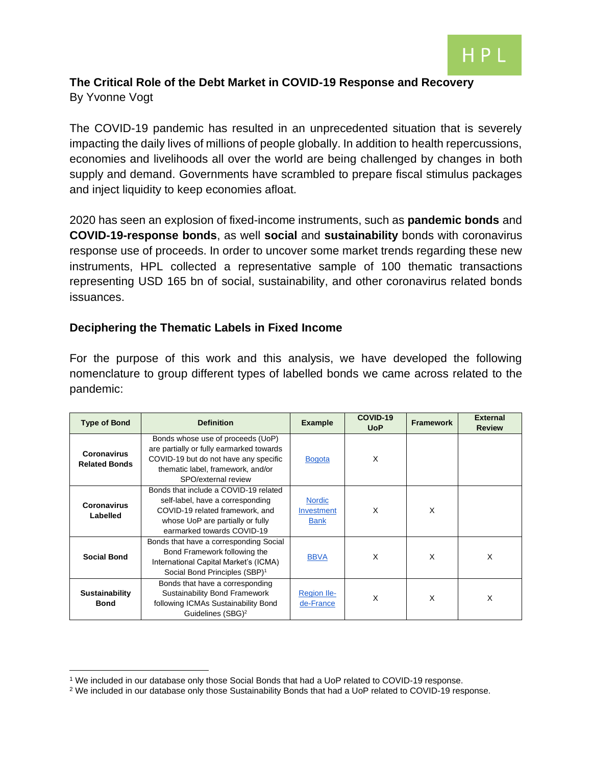

## **The Critical Role of the Debt Market in COVID-19 Response and Recovery** By Yvonne Vogt

The COVID-19 pandemic has resulted in an unprecedented situation that is severely impacting the daily lives of millions of people globally. In addition to health repercussions, economies and livelihoods all over the world are being challenged by changes in both supply and demand. Governments have scrambled to prepare fiscal stimulus packages and inject liquidity to keep economies afloat.

2020 has seen an explosion of fixed-income instruments, such as **pandemic bonds** and **COVID-19-response bonds**, as well **social** and **sustainability** bonds with coronavirus response use of proceeds. In order to uncover some market trends regarding these new instruments, HPL collected a representative sample of 100 thematic transactions representing USD 165 bn of social, sustainability, and other coronavirus related bonds issuances.

#### **Deciphering the Thematic Labels in Fixed Income**

For the purpose of this work and this analysis, we have developed the following nomenclature to group different types of labelled bonds we came across related to the pandemic:

| <b>Type of Bond</b>                  | <b>Definition</b>                                                                                                                                                                  | <b>Example</b>                             | COVID-19<br><b>UoP</b> | <b>Framework</b> | <b>External</b><br><b>Review</b> |
|--------------------------------------|------------------------------------------------------------------------------------------------------------------------------------------------------------------------------------|--------------------------------------------|------------------------|------------------|----------------------------------|
| Coronavirus<br><b>Related Bonds</b>  | Bonds whose use of proceeds (UoP)<br>are partially or fully earmarked towards<br>COVID-19 but do not have any specific<br>thematic label, framework, and/or<br>SPO/external review | <b>Bogota</b>                              | X                      |                  |                                  |
| <b>Coronavirus</b><br>Labelled       | Bonds that include a COVID-19 related<br>self-label, have a corresponding<br>COVID-19 related framework, and<br>whose UoP are partially or fully<br>earmarked towards COVID-19     | <b>Nordic</b><br>Investment<br><b>Bank</b> | X                      | X                |                                  |
| <b>Social Bond</b>                   | Bonds that have a corresponding Social<br>Bond Framework following the<br>International Capital Market's (ICMA)<br>Social Bond Principles (SBP) <sup>1</sup>                       | <b>BBVA</b>                                | X                      | X                | X                                |
| <b>Sustainability</b><br><b>Bond</b> | Bonds that have a corresponding<br><b>Sustainability Bond Framework</b><br>following ICMAs Sustainability Bond<br>Guidelines (SBG) <sup>2</sup>                                    | <b>Region Ile-</b><br>de-France            | X                      | X                | X                                |

<sup>&</sup>lt;sup>1</sup> We included in our database only those Social Bonds that had a UoP related to COVID-19 response.

<sup>&</sup>lt;sup>2</sup> We included in our database only those Sustainability Bonds that had a UoP related to COVID-19 response.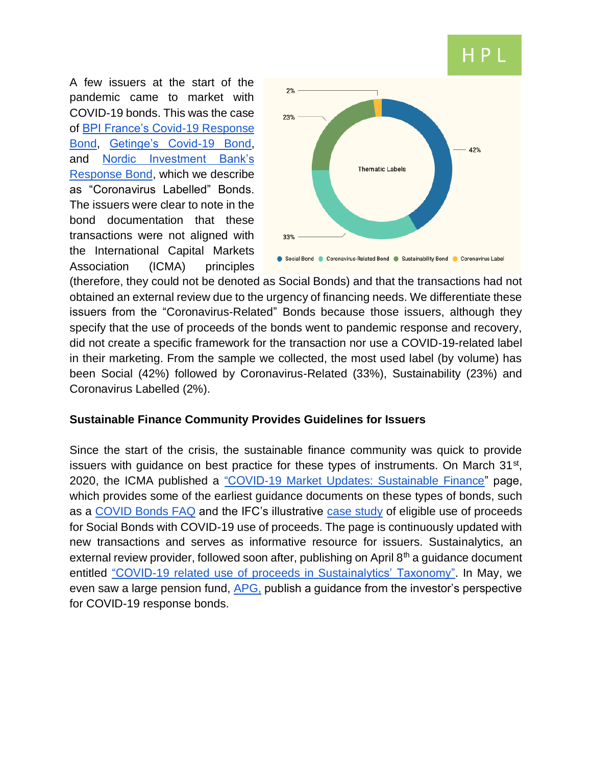# HP.

A few issuers at the start of the pandemic came to market with COVID-19 bonds. This was the case of [BPI France's Covid-19 Response](https://cib.bnpparibas.com/sustain/bpifrance-launches-france-s-inaugural-covid-19-response-bond_a-3-3493.html)  [Bond,](https://cib.bnpparibas.com/sustain/bpifrance-launches-france-s-inaugural-covid-19-response-bond_a-3-3493.html) [Getinge's Covid-19 Bond,](https://news.getinge.com/us/getinge-issues-sek-1-billion-covid-19-commercial-paper) and [Nordic Investment Bank's](https://www.nib.int/who_we_are/news_and_media/news_press_releases/3476/nib_issues_inaugural_response_bond)  [Response Bond,](https://www.nib.int/who_we_are/news_and_media/news_press_releases/3476/nib_issues_inaugural_response_bond) which we describe as "Coronavirus Labelled" Bonds. The issuers were clear to note in the bond documentation that these transactions were not aligned with the International Capital Markets Association (ICMA) principles



(therefore, they could not be denoted as Social Bonds) and that the transactions had not obtained an external review due to the urgency of financing needs. We differentiate these issuers from the "Coronavirus-Related" Bonds because those issuers, although they specify that the use of proceeds of the bonds went to pandemic response and recovery, did not create a specific framework for the transaction nor use a COVID-19-related label in their marketing. From the sample we collected, the most used label (by volume) has been Social (42%) followed by Coronavirus-Related (33%), Sustainability (23%) and Coronavirus Labelled (2%).

#### **Sustainable Finance Community Provides Guidelines for Issuers**

Since the start of the crisis, the sustainable finance community was quick to provide issuers with guidance on best practice for these types of instruments. On March 31<sup>st</sup>, 2020, the ICMA published a ["COVID-19 Market Updates: Sustainable Finance"](https://www.icmagroup.org/Regulatory-Policy-and-Market-Practice/covid-19-market-updates/covid-19-market-updates-sustainable-finance/) page, which provides some of the earliest guidance documents on these types of bonds, such as a [COVID Bonds FAQ](https://www.icmagroup.org/assets/documents/Regulatory/Green-Bonds/Social-Bonds-Covid-QA310320.pdf) and the IFC's illustrative [case study](https://www.icmagroup.org/assets/documents/Regulatory/Green-Bonds/SB-COVID-Case-Study-Final-30Mar2020-310320.pdf) of eligible use of proceeds for Social Bonds with COVID-19 use of proceeds. The page is continuously updated with new transactions and serves as informative resource for issuers. Sustainalytics, an external review provider, followed soon after, publishing on April 8<sup>th</sup> a guidance document entitled ["COVID-19 related use of proceeds in Sustainalytics' Taxonomy".](https://www.sustainalytics.com/sustainable-finance/2020/04/07/covid-19_social_bonds/) In May, we even saw a large pension fund, [APG,](https://apg.nl/en/publication/apg-develops-guidance-for-covid-19-response-bonds/) publish a guidance from the investor's perspective for COVID-19 response bonds.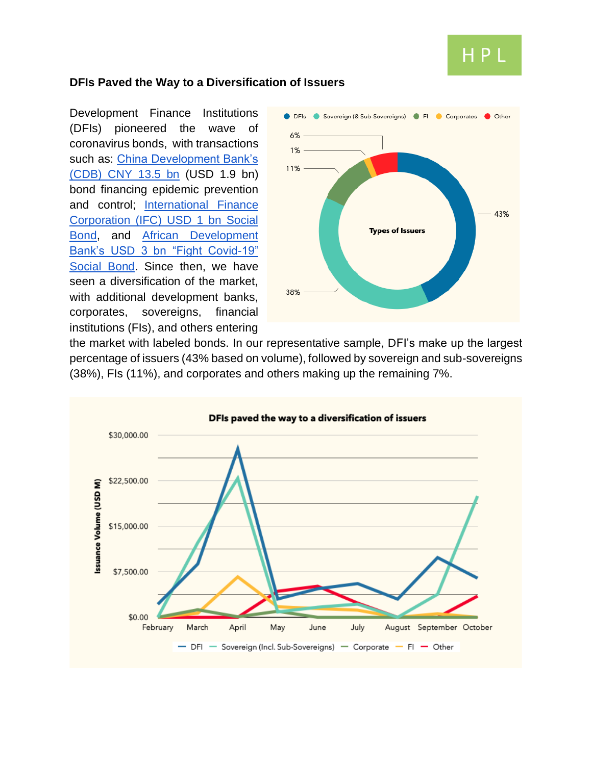

#### **DFIs Paved the Way to a Diversification of Issuers**

Development Finance Institutions (DFIs) pioneered the wave of coronavirus bonds, with transactions such as: China Development Bank's [\(CDB\) CNY 13.5 bn](http://www.cdb.com.cn/English/xwzx_715/khdt/202004/t20200402_7262.html) (USD 1.9 bn) bond financing epidemic prevention and control; [International Finance](https://ifcextapps.ifc.org/ifcext/pressroom/ifcpressroom.nsf/0/CCCB1EAC6F61E32C8525852E0068124B?OpenDocument)  [Corporation \(IFC\) USD 1 bn Social](https://ifcextapps.ifc.org/ifcext/pressroom/ifcpressroom.nsf/0/CCCB1EAC6F61E32C8525852E0068124B?OpenDocument)  [Bond,](https://ifcextapps.ifc.org/ifcext/pressroom/ifcpressroom.nsf/0/CCCB1EAC6F61E32C8525852E0068124B?OpenDocument) and [African Development](https://www.afdb.org/en/news-and-events/press-releases/african-development-bank-launches-record-breaking-3-billion-fight-covid-19-social-bond-34982)  [Bank's USD 3 bn "Fight Covid-19"](https://www.afdb.org/en/news-and-events/press-releases/african-development-bank-launches-record-breaking-3-billion-fight-covid-19-social-bond-34982)  [Social Bond.](https://www.afdb.org/en/news-and-events/press-releases/african-development-bank-launches-record-breaking-3-billion-fight-covid-19-social-bond-34982) Since then, we have seen a diversification of the market, with additional development banks, corporates, sovereigns, financial institutions (FIs), and others entering



the market with labeled bonds. In our representative sample, DFI's make up the largest percentage of issuers (43% based on volume), followed by sovereign and sub-sovereigns (38%), FIs (11%), and corporates and others making up the remaining 7%.

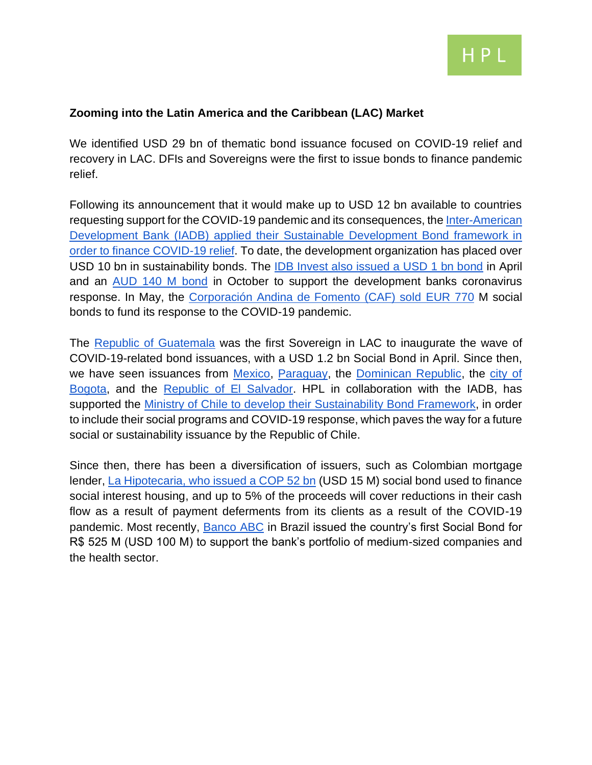

#### **Zooming into the Latin America and the Caribbean (LAC) Market**

We identified USD 29 bn of thematic bond issuance focused on COVID-19 relief and recovery in LAC. DFIs and Sovereigns were the first to issue bonds to finance pandemic relief.

Following its announcement that it would make up to USD 12 bn available to countries requesting support for the COVID-19 pandemic and its consequences, the [Inter-American](https://www.iadb.org/en/news/idb-launches-2-billion-0875-5-year-fixed-rate-sdb-global-benchmark)  Development Bank (IADB) [applied their Sustainable Development Bond framework in](https://www.iadb.org/en/news/idb-launches-2-billion-0875-5-year-fixed-rate-sdb-global-benchmark)  [order to finance COVID-19 relief.](https://www.iadb.org/en/news/idb-launches-2-billion-0875-5-year-fixed-rate-sdb-global-benchmark) To date, the development organization has placed over USD 10 bn in sustainability bonds. The [IDB Invest also issued a USD 1 bn bond](https://www.idbinvest.org/en/news-media/idb-invest-launches-its-largest-usd-benchmark-bond-strengthen-support-covid-19-response) in April and an [AUD 140 M bond](https://www.idbinvest.org/es/medios-y-prensa/bid-invest-lanza-su-primer-bono-en-dolares-australianos-para-apoyar-su-respuesta-al-covid) in October to support the development banks coronavirus response. In May, the [Corporación Andina de Fomento \(CAF\) sold EUR](https://www.globalcapital.com/article/b1ltdv1mscgdjr/caf-tightens-euro-five-year-after-accelerating-social-bond-framework) 770 M social bonds to fund its response to the COVID-19 pandemic.

The [Republic of Guatemala](https://www.latinfinance.com/daily-briefs/2020/4/22/guatemala-stuffs-order-books-in-bond-return) was the first Sovereign in LAC to inaugurate the wave of COVID-19-related bond issuances, with a USD 1.2 bn Social Bond in April. Since then, we have seen issuances from [Mexico,](https://www.infobae.com/america/mexico/2020/04/23/mexico-realizo-la-colocacion-de-bonos-mas-grande-de-su-historia-por-usd-6000-millones/) [Paraguay,](https://www.latinfinance.com/daily-briefs/2020/4/24/paraguay-comes-to-bond-market-for-coronavirus-funding) the [Dominican Republic,](https://www.hacienda.gob.do/gobierno-logra-historica-emision-de-bonos-soberanos-por-3800-millones-de-dolares/) the [city of](https://www.latinfinance.com/daily-briefs/2020/5/22/bogot%C3%A1-raises-159-mln-in-local-bond-market)  [Bogota,](https://www.latinfinance.com/daily-briefs/2020/5/22/bogot%C3%A1-raises-159-mln-in-local-bond-market) and the [Republic of El Salvador.](https://www.latinfinance.com/daily-briefs/2020/7/9/el-salvador-sells-cross-border-bonds-for-coronavirus-funding) HPL in collaboration with the IADB, has supported the [Ministry of Chile to develop their Sustainability Bond Framework,](https://www.hacienda.cl/noticias-y-eventos/noticias/ministerio-de-hacienda-publica-su-primer-marco-de-bonos-sostenibles-) in order to include their social programs and COVID-19 response, which paves the way for a future social or sustainability issuance by the Republic of Chile.

Since then, there has been a diversification of issuers, such as Colombian mortgage lender, [La Hipotecaria, who issued a COP 52 bn](https://www.idbinvest.org/en/news-media/idb-invest-supports-social-and-priority-housing-through-structuring-first-social-bond) (USD 15 M) social bond used to finance social interest housing, and up to 5% of the proceeds will cover reductions in their cash flow as a result of payment deferments from its clients as a result of the COVID-19 pandemic. Most recently, [Banco ABC](https://idbinvest.org/en/news-media/idb-invest-and-banco-abc-join-forces-issue-first-social-bond-brazil) in Brazil issued the country's first Social Bond for R\$ 525 M (USD 100 M) to support the bank's portfolio of medium-sized companies and the health sector.